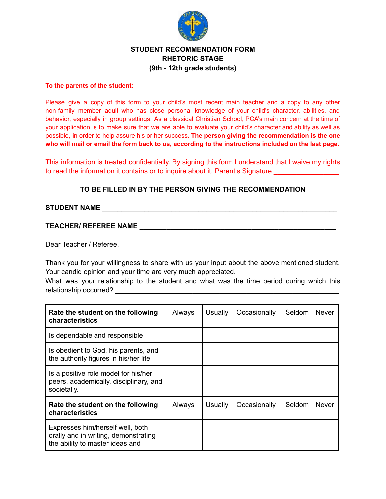

## **STUDENT RECOMMENDATION FORM RHETORIC STAGE (9th - 12th grade students)**

#### **To the parents of the student:**

Please give a copy of this form to your child's most recent main teacher and a copy to any other non-family member adult who has close personal knowledge of your child's character, abilities, and behavior, especially in group settings. As a classical Christian School, PCA's main concern at the time of your application is to make sure that we are able to evaluate your child's character and ability as well as possible, in order to help assure his or her success. **The person giving the recommendation is the one** who will mail or email the form back to us, according to the instructions included on the last page.

This information is treated confidentially. By signing this form I understand that I waive my rights to read the information it contains or to inquire about it. Parent's Signature

## **TO BE FILLED IN BY THE PERSON GIVING THE RECOMMENDATION**

### **STUDENT NAME \_\_\_\_\_\_\_\_\_\_\_\_\_\_\_\_\_\_\_\_\_\_\_\_\_\_\_\_\_\_\_\_\_\_\_\_\_\_\_\_\_\_\_\_\_\_\_\_\_\_\_\_\_\_\_\_\_\_\_\_\_**

### **TEACHER/ REFEREE NAME \_\_\_\_\_\_\_\_\_\_\_\_\_\_\_\_\_\_\_\_\_\_\_\_\_\_\_\_\_\_\_\_\_\_\_\_\_\_\_\_\_\_\_\_\_\_\_\_\_\_\_**

Dear Teacher / Referee,

Thank you for your willingness to share with us your input about the above mentioned student. Your candid opinion and your time are very much appreciated.

What was your relationship to the student and what was the time period during which this relationship occurred?

| Rate the student on the following<br>characteristics                                                        | Always | Usually | Occasionally | Seldom | <b>Never</b> |
|-------------------------------------------------------------------------------------------------------------|--------|---------|--------------|--------|--------------|
| Is dependable and responsible                                                                               |        |         |              |        |              |
| Is obedient to God, his parents, and<br>the authority figures in his/her life                               |        |         |              |        |              |
| Is a positive role model for his/her<br>peers, academically, disciplinary, and<br>societally.               |        |         |              |        |              |
| Rate the student on the following<br>characteristics                                                        | Always | Usually | Occasionally | Seldom | <b>Never</b> |
| Expresses him/herself well, both<br>orally and in writing, demonstrating<br>the ability to master ideas and |        |         |              |        |              |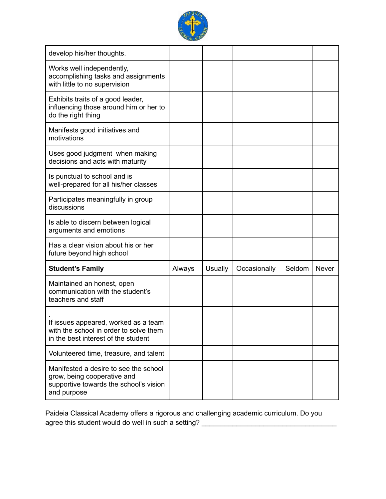

| develop his/her thoughts.                                                                                                     |        |         |              |        |              |
|-------------------------------------------------------------------------------------------------------------------------------|--------|---------|--------------|--------|--------------|
| Works well independently,<br>accomplishing tasks and assignments<br>with little to no supervision                             |        |         |              |        |              |
| Exhibits traits of a good leader,<br>influencing those around him or her to<br>do the right thing                             |        |         |              |        |              |
| Manifests good initiatives and<br>motivations                                                                                 |        |         |              |        |              |
| Uses good judgment when making<br>decisions and acts with maturity                                                            |        |         |              |        |              |
| Is punctual to school and is<br>well-prepared for all his/her classes                                                         |        |         |              |        |              |
| Participates meaningfully in group<br>discussions                                                                             |        |         |              |        |              |
| Is able to discern between logical<br>arguments and emotions                                                                  |        |         |              |        |              |
| Has a clear vision about his or her<br>future beyond high school                                                              |        |         |              |        |              |
| <b>Student's Family</b>                                                                                                       | Always | Usually | Occasionally | Seldom | <b>Never</b> |
| Maintained an honest, open<br>communication with the student's<br>teachers and staff                                          |        |         |              |        |              |
| If issues appeared, worked as a team<br>with the school in order to solve them<br>in the best interest of the student         |        |         |              |        |              |
| Volunteered time, treasure, and talent                                                                                        |        |         |              |        |              |
| Manifested a desire to see the school<br>grow, being cooperative and<br>supportive towards the school's vision<br>and purpose |        |         |              |        |              |

Paideia Classical Academy offers a rigorous and challenging academic curriculum. Do you agree this student would do well in such a setting? \_\_\_\_\_\_\_\_\_\_\_\_\_\_\_\_\_\_\_\_\_\_\_\_\_\_\_\_\_\_\_\_\_\_\_